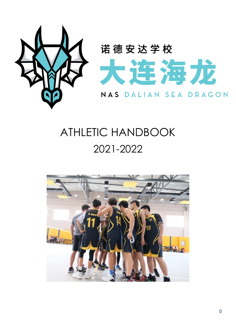

# ATHLETIC HANDBOOK 2021-2022

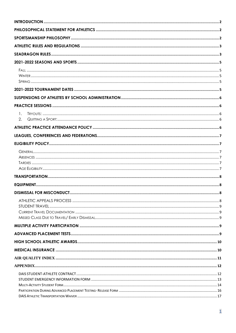| $\mathbf{1}_{\cdot}$  |  |
|-----------------------|--|
| $\mathcal{P}_{\cdot}$ |  |
|                       |  |
|                       |  |
|                       |  |
|                       |  |
|                       |  |
|                       |  |
|                       |  |
|                       |  |
|                       |  |
|                       |  |
|                       |  |
|                       |  |
|                       |  |
|                       |  |
|                       |  |
|                       |  |
|                       |  |
|                       |  |
|                       |  |
|                       |  |
|                       |  |
|                       |  |
|                       |  |
|                       |  |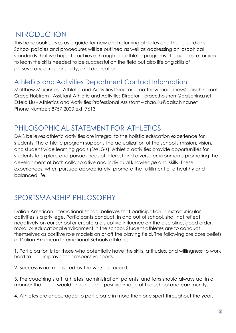### <span id="page-2-0"></span>INTRODUCTION

This handbook serves as a guide for new and returning athletes and their guardians. School policies and procedures will be outlined as well as addressing philosophical standards that we hope to achieve through our athletic programs. It is our desire for you to learn the skills needed to be successful on the field but also lifelong skills of perseverance, responsibility, and dedication.

### Athletics and Activities Department Contact Information

Matthew Macinnes - Athletic and Activities Director – matthew.macinnes@daischina.net Grace Holstrom - Assistant Athletic and Activities Director – grace.holstrom@daischina.net Estela Liu - Athletics and Activities Professional Assistant – zhao.liu@daischina.net Phone Number: 8757 2000 ext. 7613

### <span id="page-2-1"></span>PHILOSOPHICAL STATEMENT FOR ATHLETICS

DAIS believes athletic activities are integral to the holistic education experience for students. The athletic program supports the actualization of the school's mission, vision, and student wide learning goals (SWLG's). Athletic activities provide opportunities for students to explore and pursue areas of interest and diverse environments promoting the development of both collaborative and individual knowledge and skills. These experiences, when pursued appropriately, promote the fulfillment of a healthy and balanced life.

# <span id="page-2-2"></span>SPORTSMANSHIP PHILOSOPHY

Dalian American international school believes that participation in extracurricular activities is a privilege. Participants conduct, in and out of school, shall not reflect negatively on our school or create a disruptive influence on the discipline, good order, moral or educational environment in the school. Student athletes are to conduct themselves as positive role models on or off the playing field. The following are core beliefs of Dalian American International Schools athletics:

1. Participation is for those who potentially have the skills, attitudes, and willingness to work hard to improve their respective sports.

2. Success is not measured by the win/loss record.

3. The coaching staff, athletes, administration, parents, and fans should always act in a manner that would enhance the positive image of the school and community.

4. Athletes are encouraged to participate in more than one sport throughout the year.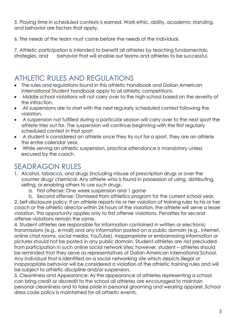5. Playing time in scheduled contests is earned. Work ethic, ability, academic standing, and behavior are factors that apply.

6. The needs of the team must come before the needs of the individual.

7. Athletic participation is intended to benefit all athletes by teaching fundamentals, strategies, and behavior that will enable our teams and athletes to be successful.

# <span id="page-3-0"></span>ATHLETIC RULES AND REGULATIONS

- The rules and regulations found in this athletic handbook and Dalian American International Student handbook apply to all athletic competitions.
- Middle school violations will not carry over to the high school based on the severity of the infraction.
- All suspensions are to start with the next regularly scheduled contest following the violation.
- A suspension not fulfilled during a particular season will carry over to the next sport the athlete tries out for. The suspension will continue beginning with the first regularly scheduled contest in that sport.
- A student is considered an athlete once they try out for a sport. They are an athlete the entire calendar year.
- While serving an athletic suspension, practice attendance is mandatory unless excused by the coach.

# <span id="page-3-1"></span>SEADRAGON RULES

- 1. Alcohol, tobacco, and drugs (including misuse of prescription drugs or over the counter drug/ chemical: Any athlete who is found in possession of using, distributing, selling, or enabling others to use such drugs.
	- a. First offense: One week suspension and 1 game

b. Second offense: Dismissed from athletics program for the current school year. 2. Self-disclosure policy: If an athlete reports his or her violation of training rules to his or her coach or the athletic director within 24 hours of the violation, the athlete will serve a lesser violation. This opportunity applies only to first offense violations. Penalties for second offense violations remain the same.

4. Student athletes are responsible for information contained in written or electronic transmissions (e.g., e-mail) and any information posted on a public domain (e.g., internet, online chat rooms, social media, YouTube). Inappropriate or embarrassing information or pictures should not be posted in any public domain. Student-athletes are not precluded from participation in such online social network sites; however, student – athletes should be reminded that they serve as representatives of Dalian American International School. Any individual that is identified on a social networking site which depicts illegal or inappropriate behavior will be considered a violation of the athletic training rules and will be subject to athletic discipline and/or suspension.

5. Cleanliness and Appearance: As the appearance of athletes representing a school can bring credit or discredit to the school all athletes are encouraged to maintain personal cleanliness and to take pride in personal grooming and wearing apparel. School dress code policy is maintained for all athletic events.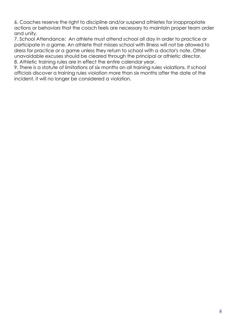6. Coaches reserve the right to discipline and/or suspend athletes for inappropriate actions or behaviors that the coach feels are necessary to maintain proper team order and unity.

7. School Attendance: An athlete must attend school all day in order to practice or participate in a game. An athlete that misses school with illness will not be allowed to dress for practice or a game unless they return to school with a doctor's note. Other unavoidable excuses should be cleared through the principal or athletic director. 8. Athletic training rules are in effect the entire calendar year.

9. There is a statute of limitations of six months on all training rules violations. If school officials discover a training rules violation more than six months after the date of the incident, it will no longer be considered a violation.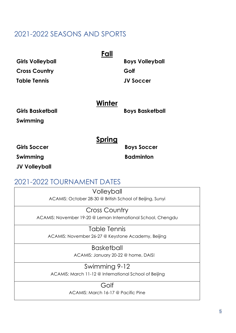### <span id="page-5-0"></span>2021-2022 SEASONS AND SPORTS

<span id="page-5-1"></span>

|                         | Fall   |                        |
|-------------------------|--------|------------------------|
| <b>Girls Volleyball</b> |        | <b>Boys Volleyball</b> |
| <b>Cross Country</b>    |        | Golf                   |
| <b>Table Tennis</b>     |        | <b>JV Soccer</b>       |
|                         | Winter |                        |
| <b>Girls Basketball</b> |        | <b>Boys Basketball</b> |
| Swimming                |        |                        |

**Spring**

<span id="page-5-3"></span><span id="page-5-2"></span>**Girls Soccer Boys Soccer** 

**Swimming** 

 **Badminton**

**JV Volleyball** 

### <span id="page-5-4"></span>2021-2022 TOURNAMENT DATES

**Volleyball** ACAMIS: October 28-30 @ British School of Beijing, Sunyi

Cross Country ACAMIS: November 19-20 @ Leman International School, Chengdu

Table Tennis ACAMIS: November 26-27 @ Keystone Academy, Beijing

> **Basketball** ACAMIS: January 20-22 @ home, DAIS!

Swimming 9-12 ACAMIS: March 11-12 @ International School of Beijing

Golf

ACAMIS: March 16-17 @ Pacific Pine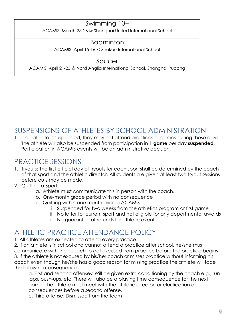### Swimming 13+

ACAMIS: March 25-26 @ Shanghai United International School

### Badminton

ACAMIS: April 15-16 @ Shekou International School

### Soccer

ACAMIS: April 21-23 @ Nord Anglia International School, Shanghai Pudong

### <span id="page-6-0"></span>SUSPENSIONS OF ATHLETES BY SCHOOL ADMINISTRATION

1. If an athlete is suspended, they may not attend practices or games during these days. The athlete will also be suspended from participation in **1 game** per day **suspended**. Participation in ACAMIS events will be an administrative decision.

### <span id="page-6-1"></span>PRACTICE SESSIONS

- <span id="page-6-2"></span>1. Tryouts: The first official day of tryouts for each sport shall be determined by the coach of that sport and the athletic director. All students are given at least two tryout sessions before cuts may be made.
- <span id="page-6-3"></span>2. Quitting a Sport:
	- a. Athlete must communicate this in person with the coach.
	- b. One-month grace period with no consequence
	- c. Quitting within one month prior to ACAMIS
		- i. Suspended for two weeks from the athletics program or first game
		- ii. No letter for current sport and not eligible for any departmental awards
		- iii. No guarantee of refunds for athletic events

### <span id="page-6-4"></span>ATHLETIC PRACTICE ATTENDANCE POLICY

1. All athletes are expected to attend every practice.

2. If an athlete is in school and cannot attend a practice after school, he/she must communicate with their coach to get excused from practice before the practice begins. 3. If the athlete is not excused by his/her coach or misses practice without informing his coach even though he/she has a good reason for missing practice the athlete will face the following consequences:

a. First and second offenses: Will be given extra conditioning by the coach e.g., run laps, push-ups, etc. There will also be a playing time consequence for the next game. The athlete must meet with the athletic director for clarification of consequences before a second offense.

c. Third offense: Dismissed from the team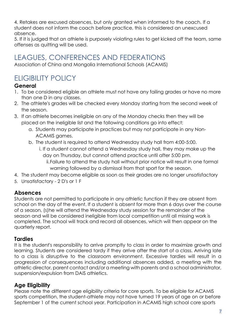4. Retakes are excused absences, but only granted when informed to the coach. If a student does not inform the coach before practice, this is considered an unexcused absence.

5. If it is judged that an athlete is purposely violating rules to get kicked off the team, same offenses as quitting will be used.

# <span id="page-7-0"></span>LEAGUES, CONFERENCES AND FEDERATIONS

Association of China and Mongolia International Schools (ACAMIS)

# <span id="page-7-1"></span>ELIGIBILITY POLICY

### <span id="page-7-2"></span>**General**

- 1. To be considered eligible an athlete must not have any failing grades or have no more than one D in any classes.
- 2. The athlete's grades will be checked every Monday starting from the second week of the season.
- 3. If an athlete becomes ineligible on any of the Monday checks then they will be placed on the ineligible list and the following conditions go into effect:
	- a. Students may participate in practices but may not participate in any Non-ACAMIS games.
	- b. The student is required to attend Wednesday study hall from 4:00-5:00.
		- i. If a student cannot attend a Wednesday study hall, they may make up the day on Thursday, but cannot attend practice until after 5:00 pm.
			- ii.Failure to attend the study hall without prior notice will result in one formal warning followed by a dismissal from that sport for the season.
- 4. The student may become eligible as soon as their grades are no longer unsatisfactory
- 5. Unsatisfactory 2 D's or 1 F

### <span id="page-7-3"></span>**Absences**

Students are not permitted to participate in any athletic function if they are absent from school on the day of the event. If a student is absent for more than 6 days over the course of a season, (s)he will attend the Wednesday study session for the remainder of the season and will be considered ineligible from local competition until all missing work is completed. The school will track and record all absences, which will then appear on the quarterly report.

#### <span id="page-7-4"></span>**Tardies**

It is the student's responsibility to arrive promptly to class in order to maximize growth and learning. Students are considered tardy if they arrive after the start of a class. Arriving late to a class is disruptive to the classroom environment. Excessive tardies will result in a progression of consequences including additional absences added, a meeting with the athletic director, parent contact and/or a meeting with parents and a school administrator, suspension/expulsion from DAIS athletics.

### <span id="page-7-5"></span>**Age Eligibility**

Please note the different age eligibility criteria for core sports. To be eligible for ACAMIS sports competition, the student-athlete may not have turned 19 years of age on or before September 1 of the current school year. Participation in ACAMIS high school core sports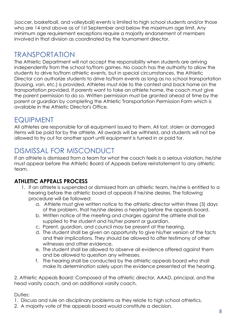(soccer, basketball, and volleyball) events is limited to high school students and/or those who are 14 and above as of 1st September and below the maximum age limit. Any minimum age requirement exceptions require a majority endorsement of members involved in that division as coordinated by the tournament director.

### <span id="page-8-0"></span>TRANSPORTATION

The Athletic Department will not accept the responsibility when students are arriving independently from the school to/from games. No coach has the authority to allow the students to drive to/from athletic events, but in special circumstances, the Athletic Director can authorize students to drive to/from events as long as no school transportation (bussing, van, etc.) is provided. Athletes must ride to the contest and back home on the transportation provided. If parents want to take an athlete home, the coach must give the parent permission to do so. Written permission must be granted ahead of time by the parent or guardian by completing the Athletic Transportation Permission Form which is available in the Athletic Director's Office.

### <span id="page-8-1"></span>EQUIPMENT

All athletes are responsible for all equipment issued to them. All lost, stolen or damaged items will be paid for by the athlete. All awards will be withheld, and students will not be allowed to try out for another sport until equipment is turned in or paid for.

# <span id="page-8-2"></span>DISMISSAL FOR MISCONDUCT

If an athlete is dismissed from a team for what the coach feels is a serious violation, he/she must appear before the Athletic Board of Appeals before reinstatement to any athletic team.

#### <span id="page-8-3"></span>**ATHLETIC APPEALS PROCESS**

- 1. If an athlete is suspended or dismissed from an athletic team, he/she is entitled to a hearing before the athletic board of appeals if he/she desires. The following procedure will be followed:
	- a. Athlete must give written notice to the athletic director within three (3) days of the problem, that he/she desires a hearing before the appeals board.
	- b. Written notice of the meeting and charges against the athlete shall be supplied to the student and his/her parent or guardian.
	- c. Parent, guardian, and council may be present at the hearing.
	- d. The student shall be given an opportunity to give his/her version of the facts and their implications. They should be allowed to offer testimony of other witnesses and other evidence.
	- e. The student shall be allowed to observe all evidence offered against them and be allowed to question any witnesses.
	- f. The hearing shall be conducted by the athletic appeals board who shall make its determination solely upon the evidence presented at the hearing.

2. Athletic Appeals Board: Composed of the athletic director, AAAD, principal, and the head varsity coach, and an additional varsity coach.

Duties:

1. Discuss and rule on disciplinary problems as they relate to high school athletics.

2. A majority vote of the appeals board would constitute a decision.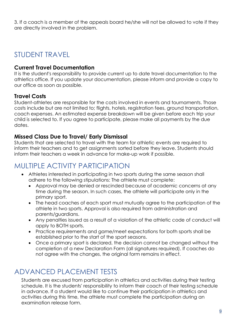3. If a coach is a member of the appeals board he/she will not be allowed to vote if they are directly involved in the problem.

### <span id="page-9-0"></span>STUDENT TRAVEL

#### <span id="page-9-1"></span>**Current Travel Documentation**

It is the student's responsibility to provide current up to date travel documentation to the athletics office. If you update your documentation, please inform and provide a copy to our office as soon as possible.

#### **Travel Costs**

Student-athletes are responsible for the costs involved in events and tournaments. Those costs include but are not limited to; flights, hotels, registration fees, ground transportation, coach expenses. An estimated expense breakdown will be given before each trip your child is selected to. If you agree to participate, please make all payments by the due dates.

#### <span id="page-9-2"></span>**Missed Class Due to Travel/ Early Dismissal**

Students that are selected to travel with the team for athletic events are required to inform their teachers and to get assignments sorted before they leave. Students should inform their teachers a week in advance for make-up work if possible.

### <span id="page-9-3"></span>MULTIPLE ACTIVITY PARTICIPATION

- Athletes interested in participating in two sports during the same season shall adhere to the following stipulations: The athlete must complete:
	- Approval may be denied or rescinded because of academic concerns at any time during the season. In such cases, the athlete will participate only in the primary sport.
	- The head coaches of each sport must mutually agree to the participation of the athlete in two sports. Approval is also required from administration and parents/guardians.
	- Any penalties issued as a result of a violation of the athletic code of conduct will apply to BOTH sports.
	- Practice requirements and game/meet expectations for both sports shall be established prior to the start of the sport seasons.
	- Once a primary sport is declared, the decision cannot be changed without the completion of a new Declaration Form (all signatures required). If coaches do not agree with the changes, the original form remains in effect.

### <span id="page-9-4"></span>ADVANCED PLACEMENT TESTS

Students are excused from participation in athletics and activities during their testing schedule. It is the students' responsibility to inform their coach of their testing schedule in advance. If a student would like to continue their participation in athletics and activities during this time, the athlete must complete the participation during an examination release form.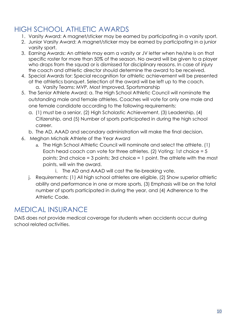### <span id="page-10-0"></span>HIGH SCHOOL ATHLETIC AWARDS

- 1. Varsity Award: A magnet/sticker may be earned by participating in a varsity sport.
- 2. Junior Varsity Award: A magnet/sticker may be earned by participating in a junior varsity sport.
- 3. Earning Awards: An athlete may earn a varsity or JV letter when he/she is on that specific roster for more than 50% of the season. No award will be given to a player who drops from the squad or is dismissed for disciplinary reasons. In case of injury the coach and athletic director should determine the award to be received.
- 4. Special Awards for: Special recognition for athletic achievement will be presented at the athletics banquet. Selection of the award will be left up to the coach. a. Varsity Teams: MVP, Most Improved, Sportsmanship
- 5. The Senior Athlete Award: a. The High School Athletic Council will nominate the outstanding male and female athletes. Coaches will vote for only one male and one female candidate according to the following requirements:
	- a. (1) must be a senior, (2) High Scholastic Achievement, (3) Leadership, (4) Citizenship, and (5) Number of sports participated in during the high school career.
	- b. The AD, AAAD and secondary administration will make the final decision.
- 6. Meghan Michalk Athlete of the Year Award
	- a. The High School Athletic Council will nominate and select the athlete. (1) Each head coach can vote for three athletes. (2) Voting: 1st choice = 5 points; 2nd choice = 3 points; 3rd choice = 1 point. The athlete with the most points, will win the award.
		- i. The AD and AAAD will cast the tie-breaking vote.
	- j. Requirements: (1) All high school athletes are eligible, (2) Show superior athletic ability and performance in one or more sports, (3) Emphasis will be on the total number of sports participated in during the year, and (4) Adherence to the Athletic Code.

### <span id="page-10-1"></span>MEDICAL INSURANCE

DAIS does not provide medical coverage for students when accidents occur during school related activities.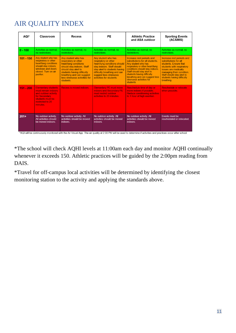# <span id="page-11-0"></span>AIR QUALITY INDEX

| AQI*        | Classroom                                                                                                                                             | Recess                                                                                                                                                                                                                              | <b>PE</b>                                                                                                                                                                                                                        | <b>Athletic Practice</b><br>and ASA outdoor                                                                                                                                                                                                                                                      | <b>Sporting Events</b><br>(ACAMIS)                                                                                                                                                                                                     |
|-------------|-------------------------------------------------------------------------------------------------------------------------------------------------------|-------------------------------------------------------------------------------------------------------------------------------------------------------------------------------------------------------------------------------------|----------------------------------------------------------------------------------------------------------------------------------------------------------------------------------------------------------------------------------|--------------------------------------------------------------------------------------------------------------------------------------------------------------------------------------------------------------------------------------------------------------------------------------------------|----------------------------------------------------------------------------------------------------------------------------------------------------------------------------------------------------------------------------------------|
| $0 - 100$   | Activities as normal.<br>no restrictions.                                                                                                             | Activities as normal, no<br>restrictions.                                                                                                                                                                                           | Activities as normal, no<br>restrictions.                                                                                                                                                                                        | Activities as normal, no<br>restrictions.                                                                                                                                                                                                                                                        | Activities as normal, no<br>restrictions.                                                                                                                                                                                              |
| $101 - 150$ | Any student who has<br>respiratory or other<br>heart/lung conditions<br>should stay indoors.<br>windows and doors<br>closed. Turn on air<br>purifier. | Any student who has<br>respiratory or other<br>heart/lung conditions<br>should stay indoors. Staff<br>should stay alert to<br>students having difficulty<br>breathing and can suggest<br>less strenuous activities for<br>students. | Any student who has<br>respiratory or other<br>heart/lung conditions should<br>stay indoors. Staff should<br>stay alert to students having<br>difficulty breathing and can<br>suggest less strenuous<br>activities for students. | Increase rest periods and<br>substitutions for all students.<br>Any student who has<br>respiratory or other heart/lung<br>conditions should stay indoors.<br>Staff should stay alert to<br>students having difficulty<br>breathing and can suggest less<br>strenuous activities for<br>students. | Increase rest periods and<br>substitutions for all<br>students Fnsure that<br>students with respiratory<br>issues are medically<br>managing their condition.<br>Staff should stay alert to<br>students having difficulty<br>breathing. |
| $151 - 200$ | <b>Elementary students</b><br>must remain indoors<br>and outdoor activity<br>for Secondary<br>students must be<br>restricted to 20<br>minutes.        | <b>Recess is moved indoors.</b>                                                                                                                                                                                                     | <b>Elementary PE must move</b><br>indoors and Secondary PE<br>must restrict outdoor<br>activities to 20 minutes.                                                                                                                 | <b>Reschedule time of day or</b><br>move indoors if possible.<br><b>Reduce conditioning activities</b><br>to 1 hour of high exertion.                                                                                                                                                            | <b>Reschedule or relocate</b><br>when possible.                                                                                                                                                                                        |
| $201+$      | No outdoor activity.<br>All activities should<br>be moved indoors.                                                                                    | No outdoor activity. All<br>activities should be moved<br>indoors.                                                                                                                                                                  | No outdoor activity. All<br>activities should be moved<br>indoors.                                                                                                                                                               | No outdoor activity. All<br>activities should be moved<br>indoors.                                                                                                                                                                                                                               | Events must be<br>rescheduled or relocated.                                                                                                                                                                                            |

\*AQI will be continuously monitored with the Air Visual App. The air quality at 2:00 PM will be used to determine if activities and practices occur after school.

\*The school will check AQHI levels at 11:00am each day and monitor AQHI continually whenever it exceeds 150. Athletic practices will be guided by the 2:00pm reading from DAIS.

\*Travel for off-campus local activities will be determined by identifying the closest monitoring station to the activity and applying the standards above.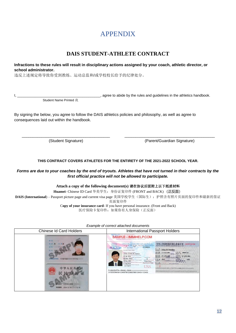### APPENDIX

#### **DAIS STUDENT-ATHLETE CONTRACT**

<span id="page-12-1"></span><span id="page-12-0"></span>**Infractions to these rules will result in disciplinary actions assigned by your coach, athletic director, or school administrator.** 

违反上述规定将导致你受到教练、运动总监和/或学校校长给予的纪律处分。

I, \_\_\_\_\_\_\_\_\_\_\_\_\_\_\_\_\_\_\_\_\_\_\_\_\_\_\_\_\_\_\_\_\_\_\_\_\_\_\_\_\_\_, agree to abide by the rules and guidelines in the athletics handbook. Student Name Printed 我

By signing the below, you agree to follow the DAIS athletics policies and philosophy, as well as agree to consequences laid out within the handbook.

(Student Signature) (Parent/Guardian Signature)

#### **THIS CONTRACT COVERS ATHLETES FOR THE ENTIRETY OF THE 2021-2022 SCHOOL YEAR.**

\_\_\_\_\_\_\_\_\_\_\_\_\_\_\_\_\_\_\_\_\_\_\_\_\_\_\_\_\_\_\_\_\_\_\_\_\_\_\_\_ \_\_\_\_\_\_\_\_\_\_\_\_\_\_\_\_\_\_\_\_\_\_\_\_\_\_\_\_\_\_\_\_\_\_\_\_\_\_\_\_\_

#### *Forms are due to your coaches by the end of tryouts. Athletes that have not turned in their contracts by the first official practice will not be allowed to participate.*

#### **Attach a copy of the following document(s)** 请在协议后面附上以下纸质材料

**Huamei**- Chinese ID Card 华美学生:身份证复印件 (FRONT and BACK) (正反面)

**DAIS (International**) – Passport picture page and current visa page 美国学校学生(国际生):护照含有照片页面的复印件和最新的签证 页面复印件

C**opy of your insurance card**- If you have personal insurance. (Front and Back) 医疗保险卡复印件:如果你有人身保险(正反面)

*Example of correct attached documents* 

| <b>Chinese Id Card Holders</b>                                                | International Passport Holders                                                                                                                                                                                                                                                                                                                                                                                                                                                                                                                                                                                                                                                                                                                                                                                                                                                                                                                                                                                                                                                                                                                                                                                            |  |  |
|-------------------------------------------------------------------------------|---------------------------------------------------------------------------------------------------------------------------------------------------------------------------------------------------------------------------------------------------------------------------------------------------------------------------------------------------------------------------------------------------------------------------------------------------------------------------------------------------------------------------------------------------------------------------------------------------------------------------------------------------------------------------------------------------------------------------------------------------------------------------------------------------------------------------------------------------------------------------------------------------------------------------------------------------------------------------------------------------------------------------------------------------------------------------------------------------------------------------------------------------------------------------------------------------------------------------|--|--|
| 洋車<br>110102<br>1114<br>中华人民共和国<br>居<br>北京市公安局<br>2004.12.18<br>有效期限<br>12.18 | <b>SAMPLE - IMMIHELP.COM</b><br><b>PERMITTE OF BEARER / AGAINTED OUT TO LATE! / KING A TH. TITLE ARE</b><br>FASSPORT<br><b>PERDISTRY PARTIES JOIN ANY PERCENT</b><br>中华人民共和国外国人居留许可<br>8605536000<br>PASSTROM<br>PASAPORT<br>Pattern To Flash Patterned Chr. in Persons<br>reserve more are not over a telescope express of only<br><b>USA</b><br>31195855<br>Sunane / Nov / Apetesa:<br>Maxwell John Q Teacher<br>Gran Names / Pribannis / Aliantary<br>技法制<br><b>#ボサら 20080720</b><br>17 FEB 1980<br><b>Minimally National Automatical</b><br><b>With Duce</b><br>Date of butt / Date de russtance / Fecha de nationales<br>答 次 口 期<br>Issue IX:de<br>07 APR 2005<br>有效期 4<br>22 Jan 1974<br>Nerotom / Leutrales for Lap a manimum<br>04 APR 2006<br>Tox (Tires) No.<br>Mumbai, INDIA<br>5 医胎<br>北京<br>任职<br>Date of stout / Date de 860 mance / Finite de expedición<br>Aming / Astron / Associate<br>unset to<br>18 Sep 2005 United States<br><b>Considered</b><br>17 Sep 2014<br>www.Sauropyrast.org<br>colocaments / Membries Ephäsiks / Anglusiuses<br>SEE PAGE 51<br>USA<br>P <usagupta<<rahul<ram<<<<<<<<<<<<<<<<<<<br>311958554USA1234567M1234567890123456&lt;123456</usagupta<<rahul<ram<<<<<<<<<<<<<<<<<<<br> |  |  |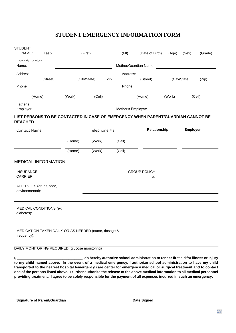#### **STUDENT EMERGENCY INFORMATION FORM**

<span id="page-13-0"></span>

| <b>STUDENT</b>                |                            |                                                                                  |               |        |                    |                           |        |                 |         |
|-------------------------------|----------------------------|----------------------------------------------------------------------------------|---------------|--------|--------------------|---------------------------|--------|-----------------|---------|
| NAME:                         | (Last)                     |                                                                                  | (First)       | (MI)   |                    | (Date of Birth)           | (Age)  | (Sex)           | (Grade) |
| Father/Guardian<br>Name:      |                            |                                                                                  |               |        |                    | Mother/Guardian Name:     |        |                 |         |
| Address:                      |                            |                                                                                  |               |        | Address:           |                           |        |                 |         |
|                               | (Street)                   |                                                                                  | (City/State)  | Zip    |                    | (Street)                  |        | (City/State)    | (Zip)   |
| Phone                         |                            |                                                                                  |               |        | Phone              |                           |        |                 |         |
|                               | (Home)                     | (Work)                                                                           | (Cell)        |        |                    | (Home)                    | (Work) |                 | (Cell)  |
| Father's<br>Employer:         |                            |                                                                                  |               |        | Mother's Employer: |                           |        |                 |         |
| <b>REACHED</b>                |                            | LIST PERSONS TO BE CONTACTED IN CASE OF EMERGENCY WHEN PARENT/GUARDIAN CANNOT BE |               |        |                    |                           |        |                 |         |
| Contact Name                  |                            |                                                                                  | Telephone #'s |        |                    | Relationship              |        | <b>Employer</b> |         |
|                               |                            | (Home)                                                                           | (Work)        | (Cell) |                    |                           |        |                 |         |
|                               |                            | (Home)                                                                           | (Work)        | (Cell) |                    |                           |        |                 |         |
| <b>INSURANCE</b><br>CARRIER:  | <b>MEDICAL INFORMATION</b> |                                                                                  |               |        |                    | <b>GROUP POLICY</b><br>#: |        |                 |         |
|                               |                            |                                                                                  |               |        |                    |                           |        |                 |         |
|                               | ALLERGIES (drugs, food,    |                                                                                  |               |        |                    |                           |        |                 |         |
| environmental):<br>diabetes): | MEDICAL CONDITIONS (ex.    |                                                                                  |               |        |                    |                           |        |                 |         |
|                               |                            | MEDICATION TAKEN DAILY OR AS NEEDED (name, dosage &                              |               |        |                    |                           |        |                 |         |
| frequency):                   |                            | DAILY MONITORING REQUIRED (glucose monitoring)                                   |               |        |                    |                           |        |                 |         |

**one of the persons listed above. I further authorize the release of the above medical information to all medical personnel providing treatment. I agree to be solely responsible for the payment of all expenses incurred in such an emergency.**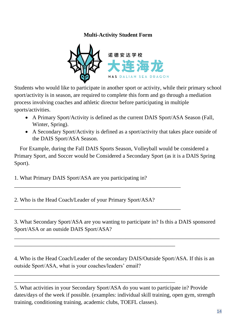#### **Multi-Activity Student Form**

<span id="page-14-0"></span>

Students who would like to participate in another sport or activity, while their primary school sport/activity is in season, are required to complete this form and go through a mediation process involving coaches and athletic director before participating in multiple sports/activities.

- A Primary Sport/Activity is defined as the current DAIS Sport/ASA Season (Fall, Winter, Spring).
- A Secondary Sport/Activity is defined as a sport/activity that takes place outside of the DAIS Sport/ASA Season.

 For Example, during the Fall DAIS Sports Season, Volleyball would be considered a Primary Sport, and Soccer would be Considered a Secondary Sport (as it is a DAIS Spring Sport).

1. What Primary DAIS Sport/ASA are you participating in?

2. Who is the Head Coach/Leader of your Primary Sport/ASA?

\_\_\_\_\_\_\_\_\_\_\_\_\_\_\_\_\_\_\_\_\_\_\_\_\_\_\_\_\_\_\_\_\_\_\_\_\_\_\_\_\_\_\_\_\_\_\_\_\_\_\_\_\_\_\_\_\_\_\_\_

\_\_\_\_\_\_\_\_\_\_\_\_\_\_\_\_\_\_\_\_\_\_\_\_\_\_\_\_\_\_\_\_\_\_\_\_\_\_\_\_\_\_\_\_\_\_\_\_\_\_\_\_\_\_\_\_\_\_\_\_

\_\_\_\_\_\_\_\_\_\_\_\_\_\_\_\_\_\_\_\_\_\_\_\_\_\_\_\_\_\_\_\_\_\_\_\_\_\_\_\_\_\_\_\_\_\_\_\_\_\_\_\_\_\_\_\_\_\_

\_\_\_\_\_\_\_\_\_\_\_\_\_\_\_\_\_\_\_\_\_\_\_\_\_\_\_\_\_\_\_\_\_\_\_\_\_\_\_\_\_\_\_\_\_\_\_\_\_\_\_\_\_\_\_\_\_\_

3. What Secondary Sport/ASA are you wanting to participate in? Is this a DAIS sponsored Sport/ASA or an outside DAIS Sport/ASA?

\_\_\_\_\_\_\_\_\_\_\_\_\_\_\_\_\_\_\_\_\_\_\_\_\_\_\_\_\_\_\_\_\_\_\_\_\_\_\_\_\_\_\_\_\_\_\_\_\_\_\_\_\_\_\_\_\_\_\_\_\_\_\_\_\_\_\_\_\_\_\_\_\_\_

4. Who is the Head Coach/Leader of the secondary DAIS/Outside Sport/ASA. If this is an outside Sport/ASA, what is your coaches/leaders' email?

\_\_\_\_\_\_\_\_\_\_\_\_\_\_\_\_\_\_\_\_\_\_\_\_\_\_\_\_\_\_\_\_\_\_\_\_\_\_\_\_\_\_\_\_\_\_\_\_\_\_\_\_\_\_\_\_\_\_\_\_\_\_\_\_\_\_\_\_\_\_\_\_\_\_

5. What activities in your Secondary Sport/ASA do you want to participate in? Provide dates/days of the week if possible. (examples: individual skill training, open gym, strength training, conditioning training, academic clubs, TOEFL classes).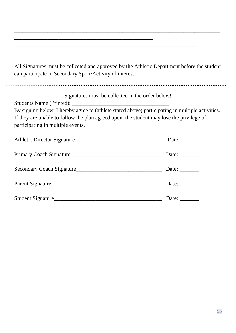All Signatures must be collected and approved by the Athletic Department before the student can participate in Secondary Sport/Activity of interest.

\_\_\_\_\_\_\_\_\_\_\_\_\_\_\_\_\_\_\_\_\_\_\_\_\_\_\_\_\_\_\_\_\_\_\_\_\_\_\_\_\_\_\_\_\_\_\_\_\_\_\_\_\_\_\_\_\_\_\_\_\_\_\_\_\_\_\_\_\_\_\_\_\_\_ \_\_\_\_\_\_\_\_\_\_\_\_\_\_\_\_\_\_\_\_\_\_\_\_\_\_\_\_\_\_\_\_\_\_\_\_\_\_\_\_\_\_\_\_\_\_\_\_\_\_\_\_\_\_\_\_\_\_\_\_\_\_\_\_\_\_\_\_\_\_\_\_\_\_

\_\_\_\_\_\_\_\_\_\_\_\_\_\_\_\_\_\_\_\_\_\_\_\_\_\_\_\_\_\_\_\_\_\_\_\_\_\_\_\_\_\_\_\_\_\_\_\_\_\_\_\_\_\_\_\_\_\_\_\_\_\_\_\_\_\_ \_\_\_\_\_\_\_\_\_\_\_\_\_\_\_\_\_\_\_\_\_\_\_\_\_\_\_\_\_\_\_\_\_\_\_\_\_\_\_\_\_\_\_\_\_\_\_\_\_\_\_\_\_\_\_\_\_\_\_\_\_\_\_\_\_\_

\_\_\_\_\_\_\_\_\_\_\_\_\_\_\_\_\_\_\_\_\_\_\_\_\_\_\_\_\_\_\_\_\_\_\_\_\_\_\_\_\_\_\_\_\_\_\_\_\_\_

Signatures must be collected in the order below! Students Name (Printed): By signing below, I hereby agree to (athlete stated above) participating in multiple activities. If they are unable to follow the plan agreed upon, the student may lose the privilege of participating in multiple events. Athletic Director Signature\_\_\_\_\_\_\_\_\_\_\_\_\_\_\_\_\_\_\_\_\_\_\_\_\_\_\_\_\_\_\_\_ Date:\_\_\_\_\_\_\_ Primary Coach Signature\_\_\_\_\_\_\_\_\_\_\_\_\_\_\_\_\_\_\_\_\_\_\_\_\_\_\_\_\_\_\_\_\_ Date: \_\_\_\_\_\_\_ Secondary Coach Signature\_\_\_\_\_\_\_\_\_\_\_\_\_\_\_\_\_\_\_\_\_\_\_\_\_\_\_\_\_\_\_ Date: \_\_\_\_\_\_\_

| Parent Signature_  | Date: |
|--------------------|-------|
| Student Signature_ | Date: |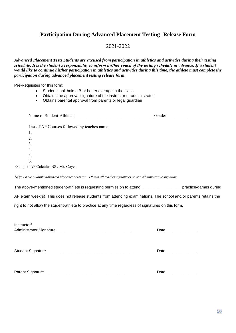### <span id="page-16-0"></span>**Participation During Advanced Placement Testing- Release Form**

#### 2021-2022

*Advanced Placement Tests Students are excused from participation in athletics and activities during their testing schedule. It is the student's responsibility to inform his/her coach of the testing schedule in advance. If a student would like to continue his/her participation in athletics and activities during this time, the athlete must complete the participation during advanced placement testing release form.*

Pre-Requisites for this form:

- Student shall hold a B or better average in the class
- Obtains the approval signature of the instructor or administrator
- Obtains parental approval from parents or legal guardian

|                                                                                                                    | Grade:                                                                                                                                                                                                                         |
|--------------------------------------------------------------------------------------------------------------------|--------------------------------------------------------------------------------------------------------------------------------------------------------------------------------------------------------------------------------|
| List of AP Courses followed by teaches name.                                                                       |                                                                                                                                                                                                                                |
| 1.                                                                                                                 |                                                                                                                                                                                                                                |
| 2.                                                                                                                 |                                                                                                                                                                                                                                |
| 3.                                                                                                                 |                                                                                                                                                                                                                                |
| 4.                                                                                                                 |                                                                                                                                                                                                                                |
| 5.                                                                                                                 |                                                                                                                                                                                                                                |
| 6.                                                                                                                 |                                                                                                                                                                                                                                |
| Example: AP Calculus BS / Mr. Coyer                                                                                |                                                                                                                                                                                                                                |
| *If you have multiple advanced placement classes - Obtain all teacher signatures or one administrative signature.  |                                                                                                                                                                                                                                |
| The above-mentioned student-athlete is requesting permission to attend ___________________ practice/games during   |                                                                                                                                                                                                                                |
| AP exam week(s). This does not release students from attending examinations. The school and/or parents retains the |                                                                                                                                                                                                                                |
| right to not allow the student-athlete to practice at any time regardless of signatures on this form.              |                                                                                                                                                                                                                                |
|                                                                                                                    |                                                                                                                                                                                                                                |
| Instructor/                                                                                                        |                                                                                                                                                                                                                                |
|                                                                                                                    | Date and the state of the state of the state of the state of the state of the state of the state of the state of the state of the state of the state of the state of the state of the state of the state of the state of the s |
|                                                                                                                    |                                                                                                                                                                                                                                |
|                                                                                                                    | Date                                                                                                                                                                                                                           |
|                                                                                                                    |                                                                                                                                                                                                                                |
|                                                                                                                    |                                                                                                                                                                                                                                |
|                                                                                                                    |                                                                                                                                                                                                                                |